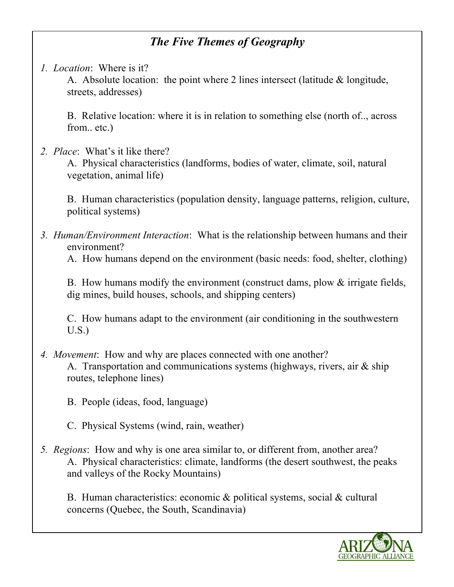# *The Five Themes of Geography*

*1. Location*: Where is it?

A. Absolute location: the point where 2 lines intersect (latitude & longitude, streets, addresses)

B. Relative location: where it is in relation to something else (north of.., across from.. etc.)

*2. Place*: What's it like there?

A. Physical characteristics (landforms, bodies of water, climate, soil, natural vegetation, animal life)

B. Human characteristics (population density, language patterns, religion, culture, political systems)

*3. Human/Environment Interaction*: What is the relationship between humans and their environment?

A. How humans depend on the environment (basic needs: food, shelter, clothing)

B. How humans modify the environment (construct dams, plow & irrigate fields, dig mines, build houses, schools, and shipping centers)

C. How humans adapt to the environment (air conditioning in the southwestern U.S.)

- *4. Movement*: How and why are places connected with one another? A. Transportation and communications systems (highways, rivers, air & ship routes, telephone lines)
	- B. People (ideas, food, language)
	- C. Physical Systems (wind, rain, weather)
- *5. Regions*: How and why is one area similar to, or different from, another area? A. Physical characteristics: climate, landforms (the desert southwest, the peaks and valleys of the Rocky Mountains)

B. Human characteristics: economic & political systems, social & cultural concerns (Quebec, the South, Scandinavia)

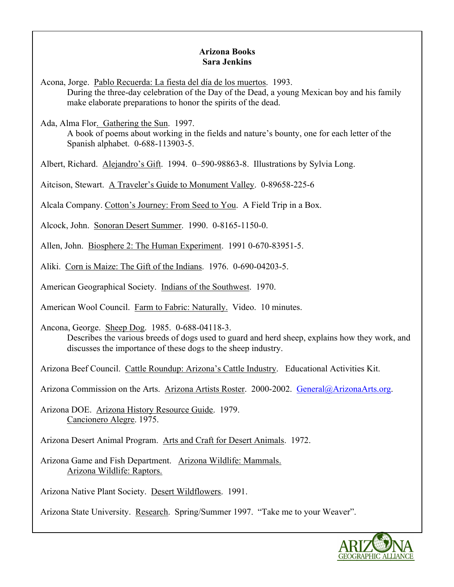### **Arizona Books Sara Jenkins**

Acona, Jorge. Pablo Recuerda: La fiesta del día de los muertos. 1993. During the three-day celebration of the Day of the Dead, a young Mexican boy and his family make elaborate preparations to honor the spirits of the dead.

Ada, Alma Flor. Gathering the Sun. 1997.

A book of poems about working in the fields and nature's bounty, one for each letter of the Spanish alphabet. 0-688-113903-5.

Albert, Richard. Alejandro's Gift. 1994. 0–590-98863-8. Illustrations by Sylvia Long.

Aitcison, Stewart. A Traveler's Guide to Monument Valley. 0-89658-225-6

Alcala Company. Cotton's Journey: From Seed to You. A Field Trip in a Box.

Alcock, John. Sonoran Desert Summer. 1990. 0-8165-1150-0.

Allen, John. Biosphere 2: The Human Experiment. 1991 0-670-83951-5.

Aliki. Corn is Maize: The Gift of the Indians. 1976. 0-690-04203-5.

American Geographical Society. Indians of the Southwest. 1970.

American Wool Council. Farm to Fabric: Naturally. Video. 10 minutes.

Ancona, George. Sheep Dog. 1985. 0-688-04118-3. Describes the various breeds of dogs used to guard and herd sheep, explains how they work, and discusses the importance of these dogs to the sheep industry.

Arizona Beef Council. Cattle Roundup: Arizona's Cattle Industry. Educational Activities Kit.

Arizona Commission on the Arts. Arizona Artists Roster. 2000-2002. General@ArizonaArts.org.

Arizona DOE. Arizona History Resource Guide. 1979. Cancionero Alegre. 1975.

Arizona Desert Animal Program. Arts and Craft for Desert Animals. 1972.

Arizona Game and Fish Department. Arizona Wildlife: Mammals. Arizona Wildlife: Raptors.

Arizona Native Plant Society. Desert Wildflowers. 1991.

Arizona State University. Research. Spring/Summer 1997. "Take me to your Weaver".

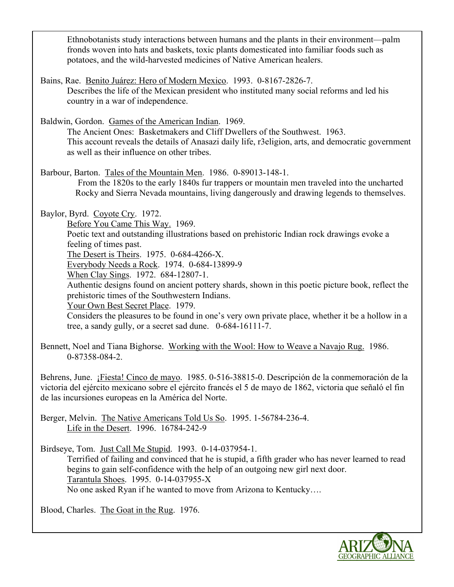Ethnobotanists study interactions between humans and the plants in their environment—palm fronds woven into hats and baskets, toxic plants domesticated into familiar foods such as potatoes, and the wild-harvested medicines of Native American healers.

Bains, Rae. Benito Juárez: Hero of Modern Mexico. 1993. 0-8167-2826-7. Describes the life of the Mexican president who instituted many social reforms and led his country in a war of independence.

Baldwin, Gordon. Games of the American Indian. 1969.

The Ancient Ones: Basketmakers and Cliff Dwellers of the Southwest. 1963. This account reveals the details of Anasazi daily life, r3eligion, arts, and democratic government as well as their influence on other tribes.

Barbour, Barton. Tales of the Mountain Men. 1986. 0-89013-148-1. From the 1820s to the early 1840s fur trappers or mountain men traveled into the uncharted Rocky and Sierra Nevada mountains, living dangerously and drawing legends to themselves.

Baylor, Byrd. Coyote Cry. 1972.

Before You Came This Way. 1969.

Poetic text and outstanding illustrations based on prehistoric Indian rock drawings evoke a feeling of times past.

The Desert is Theirs. 1975. 0-684-4266-X.

Everybody Needs a Rock. 1974. 0-684-13899-9

When Clay Sings. 1972. 684-12807-1.

Authentic designs found on ancient pottery shards, shown in this poetic picture book, reflect the prehistoric times of the Southwestern Indians.

Your Own Best Secret Place. 1979.

Considers the pleasures to be found in one's very own private place, whether it be a hollow in a tree, a sandy gully, or a secret sad dune. 0-684-16111-7.

Bennett, Noel and Tiana Bighorse. Working with the Wool: How to Weave a Navajo Rug. 1986. 0-87358-084-2.

Behrens, June. ¡Fiesta! Cinco de mayo. 1985. 0-516-38815-0. Descripción de la conmemoración de la victoria del ejército mexicano sobre el ejército francés el 5 de mayo de 1862, victoria que señaló el fin de las incursiones europeas en la América del Norte.

Berger, Melvin. The Native Americans Told Us So. 1995. 1-56784-236-4. Life in the Desert. 1996. 16784-242-9

Birdseye, Tom. Just Call Me Stupid. 1993. 0-14-037954-1.

Terrified of failing and convinced that he is stupid, a fifth grader who has never learned to read begins to gain self-confidence with the help of an outgoing new girl next door. Tarantula Shoes. 1995. 0-14-037955-X No one asked Ryan if he wanted to move from Arizona to Kentucky….

Blood, Charles. The Goat in the Rug. 1976.

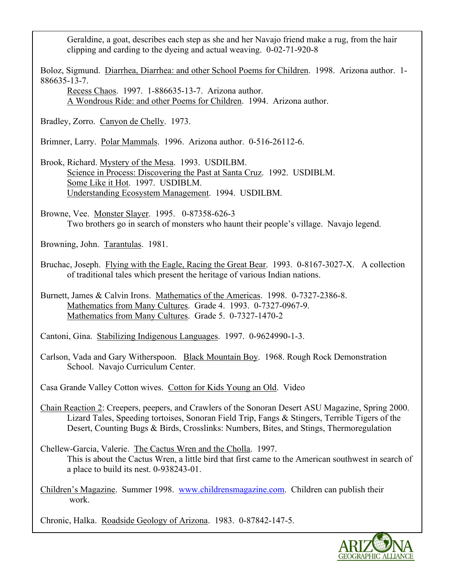Geraldine, a goat, describes each step as she and her Navajo friend make a rug, from the hair clipping and carding to the dyeing and actual weaving. 0-02-71-920-8

Boloz, Sigmund. Diarrhea, Diarrhea: and other School Poems for Children. 1998. Arizona author. 1- 886635-13-7.

Recess Chaos. 1997. 1-886635-13-7. Arizona author. A Wondrous Ride: and other Poems for Children. 1994. Arizona author.

Bradley, Zorro. Canyon de Chelly. 1973.

Brimner, Larry. Polar Mammals. 1996. Arizona author. 0-516-26112-6.

Brook, Richard. Mystery of the Mesa. 1993. USDILBM. Science in Process: Discovering the Past at Santa Cruz. 1992. USDIBLM. Some Like it Hot. 1997. USDIBLM. Understanding Ecosystem Management. 1994. USDILBM.

Browne, Vee. Monster Slayer. 1995. 0-87358-626-3 Two brothers go in search of monsters who haunt their people's village. Navajo legend.

Browning, John. Tarantulas. 1981.

Bruchac, Joseph. Flying with the Eagle, Racing the Great Bear. 1993. 0-8167-3027-X. A collection of traditional tales which present the heritage of various Indian nations.

Burnett, James & Calvin Irons. Mathematics of the Americas. 1998. 0-7327-2386-8. Mathematics from Many Cultures. Grade 4. 1993. 0-7327-0967-9. Mathematics from Many Cultures. Grade 5. 0-7327-1470-2

Cantoni, Gina. Stabilizing Indigenous Languages. 1997. 0-9624990-1-3.

Carlson, Vada and Gary Witherspoon. Black Mountain Boy. 1968. Rough Rock Demonstration School. Navajo Curriculum Center.

Casa Grande Valley Cotton wives. Cotton for Kids Young an Old. Video

- Chain Reaction 2: Creepers, peepers, and Crawlers of the Sonoran Desert ASU Magazine, Spring 2000. Lizard Tales, Speeding tortoises, Sonoran Field Trip, Fangs & Stingers, Terrible Tigers of the Desert, Counting Bugs & Birds, Crosslinks: Numbers, Bites, and Stings, Thermoregulation
- Chellew-Garcia, Valerie. The Cactus Wren and the Cholla. 1997. This is about the Cactus Wren, a little bird that first came to the American southwest in search of a place to build its nest. 0-938243-01.

Children's Magazine. Summer 1998. www.childrensmagazine.com. Children can publish their work.

Chronic, Halka. Roadside Geology of Arizona. 1983. 0-87842-147-5.

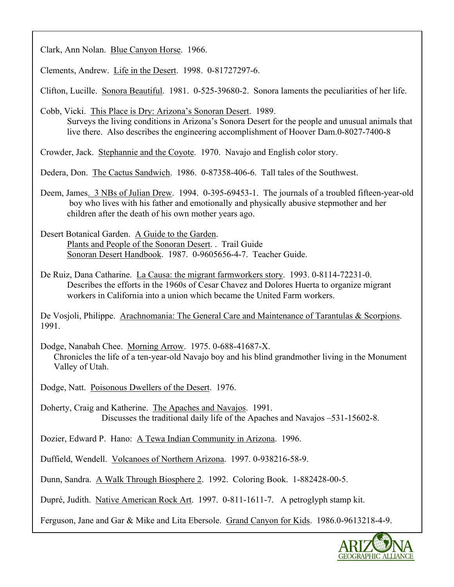Clark, Ann Nolan. Blue Canyon Horse. 1966.

Clements, Andrew. Life in the Desert. 1998. 0-81727297-6.

Clifton, Lucille. Sonora Beautiful. 1981. 0-525-39680-2. Sonora laments the peculiarities of her life.

Cobb, Vicki. This Place is Dry: Arizona's Sonoran Desert. 1989.

Surveys the living conditions in Arizona's Sonora Desert for the people and unusual animals that live there. Also describes the engineering accomplishment of Hoover Dam.0-8027-7400-8

Crowder, Jack. Stephannie and the Coyote. 1970. Navajo and English color story.

Dedera, Don. The Cactus Sandwich. 1986. 0-87358-406-6. Tall tales of the Southwest.

Deem, James. 3 NBs of Julian Drew. 1994. 0-395-69453-1. The journals of a troubled fifteen-year-old boy who lives with his father and emotionally and physically abusive stepmother and her children after the death of his own mother years ago.

Desert Botanical Garden. A Guide to the Garden. Plants and People of the Sonoran Desert. . Trail Guide Sonoran Desert Handbook. 1987. 0-9605656-4-7. Teacher Guide.

De Ruiz, Dana Catharine. La Causa: the migrant farmworkers story. 1993. 0-8114-72231-0. Describes the efforts in the 1960s of Cesar Chavez and Dolores Huerta to organize migrant workers in California into a union which became the United Farm workers.

De Vosjoli, Philippe. Arachnomania: The General Care and Maintenance of Tarantulas & Scorpions. 1991.

Dodge, Nanabah Chee. Morning Arrow. 1975. 0-688-41687-X. Chronicles the life of a ten-year-old Navajo boy and his blind grandmother living in the Monument Valley of Utah.

Dodge, Natt. Poisonous Dwellers of the Desert. 1976.

Doherty, Craig and Katherine. The Apaches and Navajos. 1991. Discusses the traditional daily life of the Apaches and Navajos –531-15602-8.

Dozier, Edward P. Hano: A Tewa Indian Community in Arizona. 1996.

Duffield, Wendell. Volcanoes of Northern Arizona. 1997. 0-938216-58-9.

Dunn, Sandra. A Walk Through Biosphere 2. 1992. Coloring Book. 1-882428-00-5.

Dupré, Judith. Native American Rock Art. 1997. 0-811-1611-7. A petroglyph stamp kit.

Ferguson, Jane and Gar & Mike and Lita Ebersole. Grand Canyon for Kids. 1986.0-9613218-4-9.

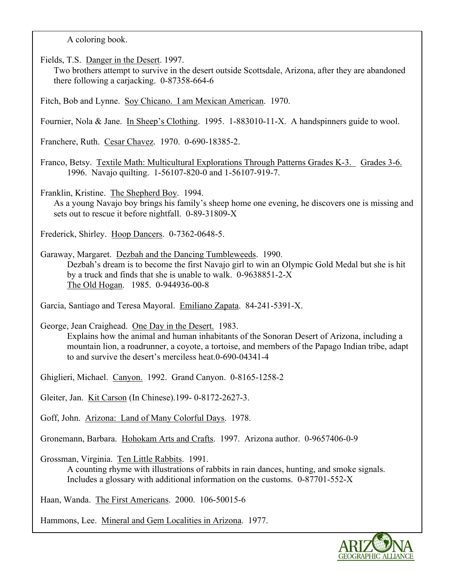A coloring book.

Fields, T.S. Danger in the Desert. 1997.

Two brothers attempt to survive in the desert outside Scottsdale, Arizona, after they are abandoned there following a carjacking. 0-87358-664-6

Fitch, Bob and Lynne. Soy Chicano. I am Mexican American. 1970.

Fournier, Nola & Jane. In Sheep's Clothing. 1995. 1-883010-11-X. A handspinners guide to wool.

Franchere, Ruth. Cesar Chavez. 1970. 0-690-18385-2.

Franco, Betsy. Textile Math: Multicultural Explorations Through Patterns Grades K-3. Grades 3-6. 1996. Navajo quilting. 1-56107-820-0 and 1-56107-919-7.

Franklin, Kristine. The Shepherd Boy. 1994.

As a young Navajo boy brings his family's sheep home one evening, he discovers one is missing and sets out to rescue it before nightfall. 0-89-31809-X

Frederick, Shirley. Hoop Dancers. 0-7362-0648-5.

Garaway, Margaret. Dezbah and the Dancing Tumbleweeds. 1990. Dezbah's dream is to become the first Navajo girl to win an Olympic Gold Medal but she is hit by a truck and finds that she is unable to walk. 0-9638851-2-X The Old Hogan. 1985. 0-944936-00-8

Garcia, Santiago and Teresa Mayoral. Emiliano Zapata. 84-241-5391-X.

George, Jean Craighead. One Day in the Desert. 1983.

Explains how the animal and human inhabitants of the Sonoran Desert of Arizona, including a mountain lion, a roadrunner, a coyote, a tortoise, and members of the Papago Indian tribe, adapt to and survive the desert's merciless heat.0-690-04341-4

Ghiglieri, Michael. Canyon. 1992. Grand Canyon. 0-8165-1258-2

Gleiter, Jan. Kit Carson (In Chinese).199- 0-8172-2627-3.

Goff, John. Arizona: Land of Many Colorful Days. 1978.

Gronemann, Barbara. Hohokam Arts and Crafts. 1997. Arizona author. 0-9657406-0-9

Grossman, Virginia. Ten Little Rabbits. 1991.

A counting rhyme with illustrations of rabbits in rain dances, hunting, and smoke signals. Includes a glossary with additional information on the customs. 0-87701-552-X

Haan, Wanda. The First Americans. 2000. 106-50015-6

Hammons, Lee. Mineral and Gem Localities in Arizona. 1977.

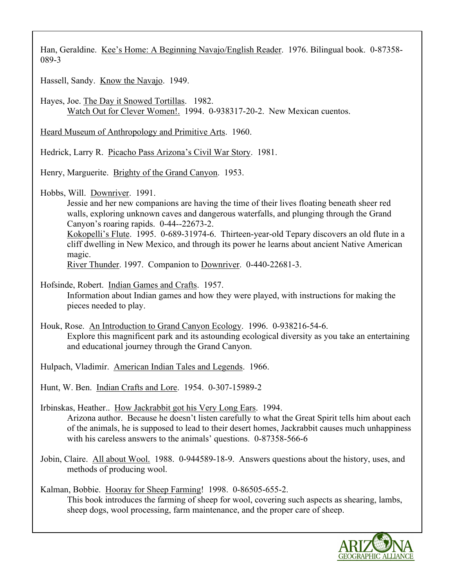Han, Geraldine. Kee's Home: A Beginning Navajo/English Reader. 1976. Bilingual book. 0-87358- 089-3

Hassell, Sandy. Know the Navajo. 1949.

Hayes, Joe. The Day it Snowed Tortillas. 1982. Watch Out for Clever Women!. 1994. 0-938317-20-2. New Mexican cuentos.

Heard Museum of Anthropology and Primitive Arts. 1960.

Hedrick, Larry R. Picacho Pass Arizona's Civil War Story. 1981.

Henry, Marguerite. Brighty of the Grand Canyon. 1953.

Hobbs, Will. Downriver. 1991.

Jessie and her new companions are having the time of their lives floating beneath sheer red walls, exploring unknown caves and dangerous waterfalls, and plunging through the Grand Canyon's roaring rapids. 0-44--22673-2.

Kokopelli's Flute. 1995. 0-689-31974-6. Thirteen-year-old Tepary discovers an old flute in a cliff dwelling in New Mexico, and through its power he learns about ancient Native American magic.

River Thunder. 1997. Companion to Downriver. 0-440-22681-3.

Hofsinde, Robert. Indian Games and Crafts. 1957. Information about Indian games and how they were played, with instructions for making the pieces needed to play.

Houk, Rose. An Introduction to Grand Canyon Ecology. 1996. 0-938216-54-6. Explore this magnificent park and its astounding ecological diversity as you take an entertaining and educational journey through the Grand Canyon.

Hulpach, Vladimír. American Indian Tales and Legends. 1966.

Hunt, W. Ben. Indian Crafts and Lore. 1954. 0-307-15989-2

Irbinskas, Heather.. How Jackrabbit got his Very Long Ears. 1994. Arizona author. Because he doesn't listen carefully to what the Great Spirit tells him about each of the animals, he is supposed to lead to their desert homes, Jackrabbit causes much unhappiness with his careless answers to the animals' questions. 0-87358-566-6

Jobin, Claire. All about Wool. 1988. 0-944589-18-9. Answers questions about the history, uses, and methods of producing wool.

Kalman, Bobbie. Hooray for Sheep Farming! 1998. 0-86505-655-2. This book introduces the farming of sheep for wool, covering such aspects as shearing, lambs, sheep dogs, wool processing, farm maintenance, and the proper care of sheep.

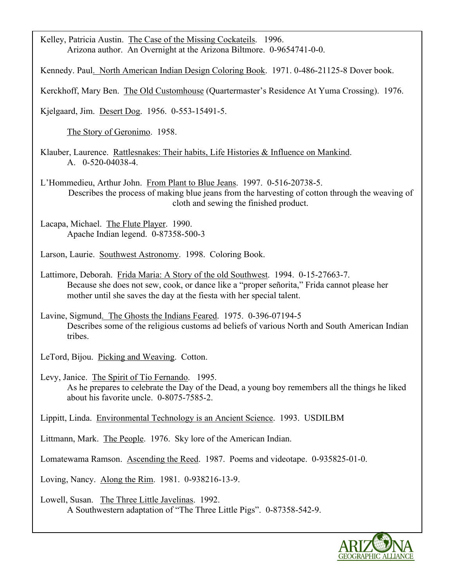Kelley, Patricia Austin. The Case of the Missing Cockateils. 1996. Arizona author. An Overnight at the Arizona Biltmore. 0-9654741-0-0.

Kennedy. Paul. North American Indian Design Coloring Book. 1971. 0-486-21125-8 Dover book.

Kerckhoff, Mary Ben. The Old Customhouse (Quartermaster's Residence At Yuma Crossing). 1976.

Kjelgaard, Jim. Desert Dog. 1956. 0-553-15491-5.

The Story of Geronimo. 1958.

Klauber, Laurence. Rattlesnakes: Their habits, Life Histories & Influence on Mankind. A. 0-520-04038-4.

L'Hommedieu, Arthur John. From Plant to Blue Jeans. 1997. 0-516-20738-5. Describes the process of making blue jeans from the harvesting of cotton through the weaving of cloth and sewing the finished product.

Lacapa, Michael. The Flute Player. 1990. Apache Indian legend. 0-87358-500-3

Larson, Laurie. Southwest Astronomy. 1998. Coloring Book.

Lattimore, Deborah. Frida Maria: A Story of the old Southwest. 1994. 0-15-27663-7. Because she does not sew, cook, or dance like a "proper señorita," Frida cannot please her mother until she saves the day at the fiesta with her special talent.

Lavine, Sigmund. The Ghosts the Indians Feared. 1975. 0-396-07194-5 Describes some of the religious customs ad beliefs of various North and South American Indian tribes.

LeTord, Bijou. Picking and Weaving. Cotton.

Levy, Janice. The Spirit of Tío Fernando. 1995. As he prepares to celebrate the Day of the Dead, a young boy remembers all the things he liked about his favorite uncle. 0-8075-7585-2.

Lippitt, Linda. Environmental Technology is an Ancient Science. 1993. USDILBM

Littmann, Mark. The People. 1976. Sky lore of the American Indian.

Lomatewama Ramson. Ascending the Reed. 1987. Poems and videotape. 0-935825-01-0.

Loving, Nancy. Along the Rim. 1981. 0-938216-13-9.

Lowell, Susan. The Three Little Javelinas. 1992. A Southwestern adaptation of "The Three Little Pigs". 0-87358-542-9.

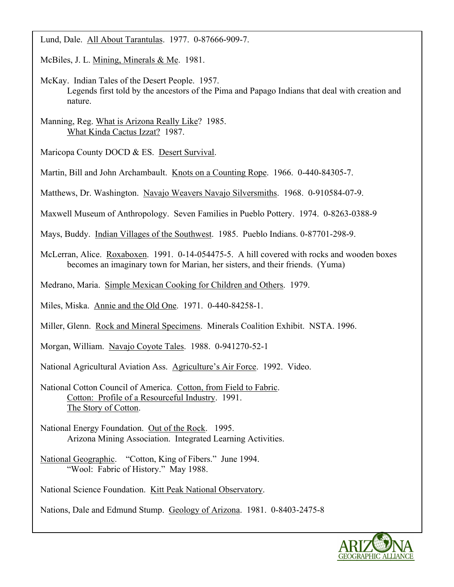Lund, Dale. All About Tarantulas. 1977. 0-87666-909-7.

McBiles, J. L. Mining, Minerals & Me. 1981.

- McKay. Indian Tales of the Desert People. 1957. Legends first told by the ancestors of the Pima and Papago Indians that deal with creation and nature.
- Manning, Reg. What is Arizona Really Like? 1985. What Kinda Cactus Izzat? 1987.

Maricopa County DOCD & ES. Desert Survival.

Martin, Bill and John Archambault. Knots on a Counting Rope. 1966. 0-440-84305-7.

Matthews, Dr. Washington. Navajo Weavers Navajo Silversmiths. 1968. 0-910584-07-9.

Maxwell Museum of Anthropology. Seven Families in Pueblo Pottery. 1974. 0-8263-0388-9

Mays, Buddy. Indian Villages of the Southwest. 1985. Pueblo Indians. 0-87701-298-9.

McLerran, Alice. Roxaboxen. 1991. 0-14-054475-5. A hill covered with rocks and wooden boxes becomes an imaginary town for Marian, her sisters, and their friends. (Yuma)

Medrano, Maria. Simple Mexican Cooking for Children and Others. 1979.

Miles, Miska. Annie and the Old One. 1971. 0-440-84258-1.

Miller, Glenn. Rock and Mineral Specimens. Minerals Coalition Exhibit. NSTA. 1996.

Morgan, William. Navajo Coyote Tales. 1988. 0-941270-52-1

National Agricultural Aviation Ass. Agriculture's Air Force. 1992. Video.

National Cotton Council of America. Cotton, from Field to Fabric. Cotton: Profile of a Resourceful Industry. 1991. The Story of Cotton.

National Energy Foundation. Out of the Rock. 1995. Arizona Mining Association. Integrated Learning Activities.

National Geographic. "Cotton, King of Fibers." June 1994. "Wool: Fabric of History." May 1988.

National Science Foundation. Kitt Peak National Observatory.

Nations, Dale and Edmund Stump. Geology of Arizona. 1981. 0-8403-2475-8

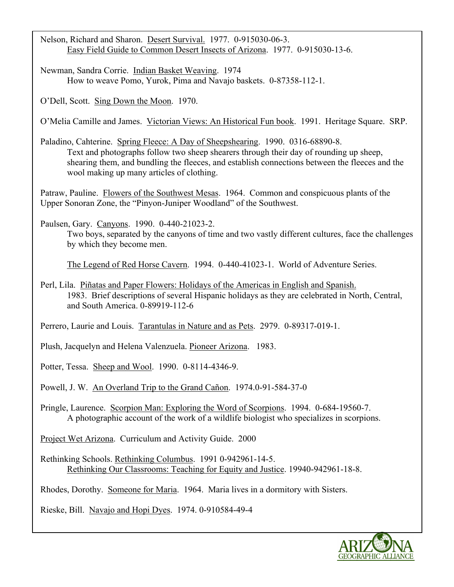Nelson, Richard and Sharon. Desert Survival. 1977. 0-915030-06-3. Easy Field Guide to Common Desert Insects of Arizona. 1977. 0-915030-13-6.

Newman, Sandra Corrie. Indian Basket Weaving. 1974 How to weave Pomo, Yurok, Pima and Navajo baskets. 0-87358-112-1.

O'Dell, Scott. Sing Down the Moon. 1970.

O'Melia Camille and James. Victorian Views: An Historical Fun book. 1991. Heritage Square. SRP.

Paladino, Cahterine. Spring Fleece: A Day of Sheepshearing. 1990. 0316-68890-8. Text and photographs follow two sheep shearers through their day of rounding up sheep, shearing them, and bundling the fleeces, and establish connections between the fleeces and the wool making up many articles of clothing.

Patraw, Pauline. Flowers of the Southwest Mesas. 1964. Common and conspicuous plants of the Upper Sonoran Zone, the "Pinyon-Juniper Woodland" of the Southwest.

Paulsen, Gary. Canyons. 1990. 0-440-21023-2.

Two boys, separated by the canyons of time and two vastly different cultures, face the challenges by which they become men.

The Legend of Red Horse Cavern. 1994. 0-440-41023-1. World of Adventure Series.

Perl, Lila. Piñatas and Paper Flowers: Holidays of the Americas in English and Spanish. 1983. Brief descriptions of several Hispanic holidays as they are celebrated in North, Central, and South America. 0-89919-112-6

Perrero, Laurie and Louis. Tarantulas in Nature and as Pets. 2979. 0-89317-019-1.

Plush, Jacquelyn and Helena Valenzuela. Pioneer Arizona. 1983.

Potter, Tessa. Sheep and Wool. 1990. 0-8114-4346-9.

Powell, J. W. An Overland Trip to the Grand Cañon. 1974.0-91-584-37-0

Pringle, Laurence. Scorpion Man: Exploring the Word of Scorpions. 1994. 0-684-19560-7. A photographic account of the work of a wildlife biologist who specializes in scorpions.

Project Wet Arizona. Curriculum and Activity Guide. 2000

Rethinking Schools. Rethinking Columbus. 1991 0-942961-14-5. Rethinking Our Classrooms: Teaching for Equity and Justice. 19940-942961-18-8.

Rhodes, Dorothy. Someone for Maria. 1964. Maria lives in a dormitory with Sisters.

Rieske, Bill. Navajo and Hopi Dyes. 1974. 0-910584-49-4

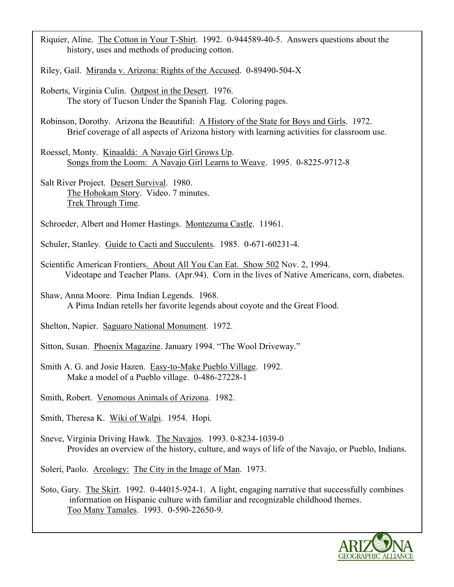Riquier, Aline. The Cotton in Your T-Shirt. 1992. 0-944589-40-5. Answers questions about the history, uses and methods of producing cotton.

Riley, Gail. Miranda v. Arizona: Rights of the Accused. 0-89490-504-X

Roberts, Virginia Culin. Outpost in the Desert. 1976. The story of Tucson Under the Spanish Flag. Coloring pages.

Robinson, Dorothy. Arizona the Beautiful: A History of the State for Boys and Girls. 1972. Brief coverage of all aspects of Arizona history with learning activities for classroom use.

Roessel, Monty. Kinaaldá: A Navajo Girl Grows Up. Songs from the Loom: A Navajo Girl Learns to Weave. 1995. 0-8225-9712-8

Salt River Project. Desert Survival. 1980. The Hohokam Story. Video. 7 minutes. Trek Through Time.

Schroeder, Albert and Homer Hastings. Montezuma Castle. 11961.

Schuler, Stanley. Guide to Cacti and Succulents. 1985. 0-671-60231-4.

Scientific American Frontiers. About All You Can Eat. Show 502 Nov. 2, 1994. Videotape and Teacher Plans. (Apr.94). Corn in the lives of Native Americans, corn, diabetes.

Shaw, Anna Moore. Pima Indian Legends. 1968. A Pima Indian retells her favorite legends about coyote and the Great Flood.

Shelton, Napier. Saguaro National Monument. 1972.

Sitton, Susan. Phoenix Magazine. January 1994. "The Wool Driveway."

Smith A. G. and Josie Hazen. Easy-to-Make Pueblo Village. 1992. Make a model of a Pueblo village. 0-486-27228-1

Smith, Robert. Venomous Animals of Arizona. 1982.

Smith, Theresa K. Wiki of Walpi. 1954. Hopi.

Sneve, Virginia Driving Hawk. The Navajos. 1993. 0-8234-1039-0 Provides an overview of the history, culture, and ways of life of the Navajo, or Pueblo, Indians.

Soleri, Paolo. Arcology: The City in the Image of Man. 1973.

Soto, Gary. The Skirt. 1992. 0-44015-924-1. A light, engaging narrative that successfully combines information on Hispanic culture with familiar and recognizable childhood themes. Too Many Tamales. 1993. 0-590-22650-9.

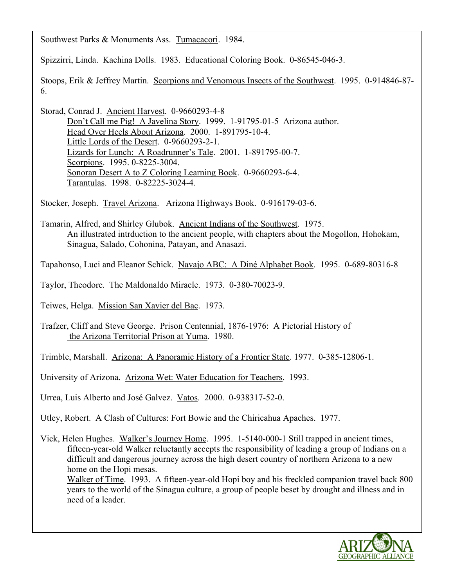Southwest Parks & Monuments Ass. Tumacacori. 1984.

Spizzirri, Linda. Kachina Dolls. 1983. Educational Coloring Book. 0-86545-046-3.

Stoops, Erik & Jeffrey Martin. Scorpions and Venomous Insects of the Southwest. 1995. 0-914846-87- 6.

Storad, Conrad J. Ancient Harvest. 0-9660293-4-8 Don't Call me Pig! A Javelina Story. 1999. 1-91795-01-5 Arizona author. Head Over Heels About Arizona. 2000. 1-891795-10-4. Little Lords of the Desert. 0-9660293-2-1. Lizards for Lunch: A Roadrunner's Tale. 2001. 1-891795-00-7. Scorpions. 1995. 0-8225-3004. Sonoran Desert A to Z Coloring Learning Book. 0-9660293-6-4. Tarantulas. 1998. 0-82225-3024-4.

Stocker, Joseph. Travel Arizona. Arizona Highways Book. 0-916179-03-6.

Tamarin, Alfred, and Shirley Glubok. Ancient Indians of the Southwest. 1975. An illustrated intrduction to the ancient people, with chapters about the Mogollon, Hohokam, Sinagua, Salado, Cohonina, Patayan, and Anasazi.

Tapahonso, Luci and Eleanor Schick. Navajo ABC: A Diné Alphabet Book. 1995. 0-689-80316-8

Taylor, Theodore. The Maldonaldo Miracle. 1973. 0-380-70023-9.

Teiwes, Helga. Mission San Xavier del Bac. 1973.

Trafzer, Cliff and Steve George. Prison Centennial, 1876-1976: A Pictorial History of the Arizona Territorial Prison at Yuma. 1980.

Trimble, Marshall. Arizona: A Panoramic History of a Frontier State. 1977. 0-385-12806-1.

University of Arizona. Arizona Wet: Water Education for Teachers. 1993.

Urrea, Luis Alberto and José Galvez. Vatos. 2000. 0-938317-52-0.

Utley, Robert. A Clash of Cultures: Fort Bowie and the Chiricahua Apaches. 1977.

Vick, Helen Hughes. Walker's Journey Home. 1995. 1-5140-000-1 Still trapped in ancient times, fifteen-year-old Walker reluctantly accepts the responsibility of leading a group of Indians on a difficult and dangerous journey across the high desert country of northern Arizona to a new home on the Hopi mesas.

Walker of Time. 1993. A fifteen-year-old Hopi boy and his freckled companion travel back 800 years to the world of the Sinagua culture, a group of people beset by drought and illness and in need of a leader.

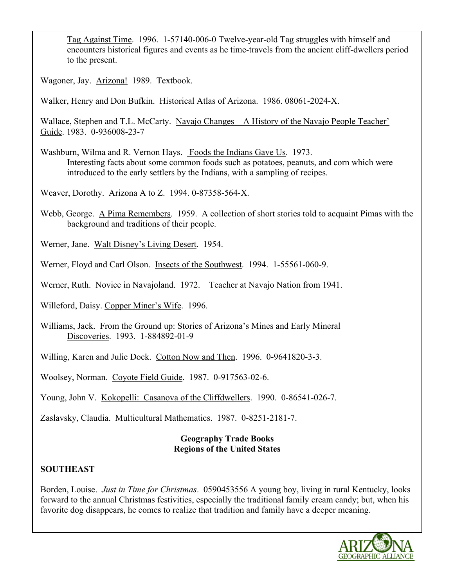Tag Against Time. 1996. 1-57140-006-0 Twelve-year-old Tag struggles with himself and encounters historical figures and events as he time-travels from the ancient cliff-dwellers period to the present.

Wagoner, Jay. Arizona! 1989. Textbook.

Walker, Henry and Don Bufkin. Historical Atlas of Arizona. 1986. 08061-2024-X.

Wallace, Stephen and T.L. McCarty. Navajo Changes—A History of the Navajo People Teacher' Guide. 1983. 0-936008-23-7

Washburn, Wilma and R. Vernon Hays. Foods the Indians Gave Us. 1973. Interesting facts about some common foods such as potatoes, peanuts, and corn which were introduced to the early settlers by the Indians, with a sampling of recipes.

Weaver, Dorothy. Arizona A to Z. 1994. 0-87358-564-X.

Webb, George. A Pima Remembers. 1959. A collection of short stories told to acquaint Pimas with the background and traditions of their people.

Werner, Jane. Walt Disney's Living Desert. 1954.

Werner, Floyd and Carl Olson. Insects of the Southwest. 1994. 1-55561-060-9.

Werner, Ruth. Novice in Navajoland. 1972. Teacher at Navajo Nation from 1941.

Willeford, Daisy. Copper Miner's Wife. 1996.

Williams, Jack. From the Ground up: Stories of Arizona's Mines and Early Mineral Discoveries. 1993. 1-884892-01-9

Willing, Karen and Julie Dock. Cotton Now and Then. 1996. 0-9641820-3-3.

Woolsey, Norman. Coyote Field Guide. 1987. 0-917563-02-6.

Young, John V. Kokopelli: Casanova of the Cliffdwellers. 1990. 0-86541-026-7.

Zaslavsky, Claudia. Multicultural Mathematics. 1987. 0-8251-2181-7.

## **Geography Trade Books Regions of the United States**

## **SOUTHEAST**

Borden, Louise. *Just in Time for Christmas*. 0590453556 A young boy, living in rural Kentucky, looks forward to the annual Christmas festivities, especially the traditional family cream candy; but, when his favorite dog disappears, he comes to realize that tradition and family have a deeper meaning.

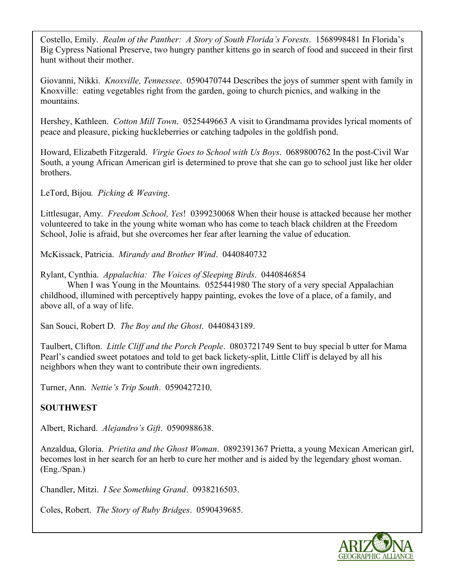Costello, Emily. *Realm of the Panther: A Story of South Florida's Forests*. 1568998481 In Florida's Big Cypress National Preserve, two hungry panther kittens go in search of food and succeed in their first hunt without their mother.

Giovanni, Nikki. *Knoxville, Tennessee*. 0590470744 Describes the joys of summer spent with family in Knoxville: eating vegetables right from the garden, going to church picnics, and walking in the mountains.

Hershey, Kathleen. *Cotton Mill Town*. 0525449663 A visit to Grandmama provides lyrical moments of peace and pleasure, picking huckleberries or catching tadpoles in the goldfish pond.

Howard, Elizabeth Fitzgerald. *Virgie Goes to School with Us Boys*. 0689800762 In the post-Civil War South, a young African American girl is determined to prove that she can go to school just like her older brothers.

LeTord, Bijou*. Picking & Weaving*.

Littlesugar, Amy. *Freedom School, Yes*! 0399230068 When their house is attacked because her mother volunteered to take in the young white woman who has come to teach black children at the Freedom School, Jolie is afraid, but she overcomes her fear after learning the value of education.

McKissack, Patricia. *Mirandy and Brother Wind*. 0440840732

Rylant, Cynthia. *Appalachia: The Voices of Sleeping Birds*. 0440846854

When I was Young in the Mountains. 0525441980 The story of a very special Appalachian childhood, illumined with perceptively happy painting, evokes the love of a place, of a family, and above all, of a way of life.

San Souci, Robert D. *The Boy and the Ghost*. 0440843189.

Taulbert, Clifton. *Little Cliff and the Porch People*. 0803721749 Sent to buy special b utter for Mama Pearl's candied sweet potatoes and told to get back lickety-split, Little Cliff is delayed by all his neighbors when they want to contribute their own ingredients.

Turner, Ann. *Nettie's Trip South*. 0590427210.

## **SOUTHWEST**

Albert, Richard. *Alejandro's Gift*. 0590988638.

Anzaldua, Gloria. *Prietita and the Ghost Woman*. 0892391367 Prietta, a young Mexican American girl, becomes lost in her search for an herb to cure her mother and is aided by the legendary ghost woman. (Eng./Span.)

Chandler, Mitzi. *I See Something Grand*. 0938216503.

Coles, Robert. *The Story of Ruby Bridges*. 0590439685.

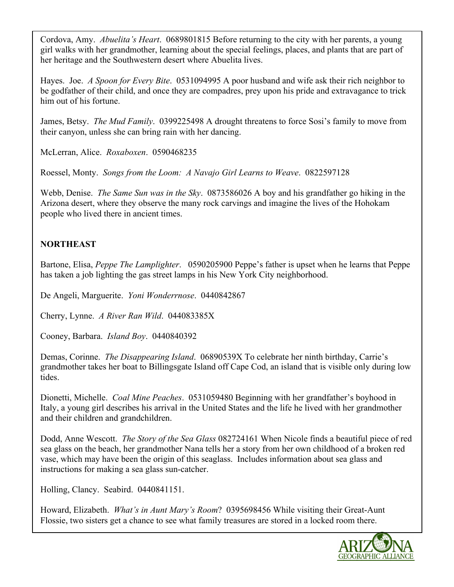Cordova, Amy. *Abuelita's Heart*. 0689801815 Before returning to the city with her parents, a young girl walks with her grandmother, learning about the special feelings, places, and plants that are part of her heritage and the Southwestern desert where Abuelita lives.

Hayes. Joe. *A Spoon for Every Bite*. 0531094995 A poor husband and wife ask their rich neighbor to be godfather of their child, and once they are compadres, prey upon his pride and extravagance to trick him out of his fortune.

James, Betsy. *The Mud Family*. 0399225498 A drought threatens to force Sosi's family to move from their canyon, unless she can bring rain with her dancing.

McLerran, Alice. *Roxaboxen*. 0590468235

Roessel, Monty. *Songs from the Loom: A Navajo Girl Learns to Weave*. 0822597128

Webb, Denise. *The Same Sun was in the Sky*. 0873586026 A boy and his grandfather go hiking in the Arizona desert, where they observe the many rock carvings and imagine the lives of the Hohokam people who lived there in ancient times.

## **NORTHEAST**

Bartone, Elisa, *Peppe The Lamplighter*. 0590205900 Peppe's father is upset when he learns that Peppe has taken a job lighting the gas street lamps in his New York City neighborhood.

De Angeli, Marguerite. *Yoni Wonderrnose*. 0440842867

Cherry, Lynne. *A River Ran Wild*. 044083385X

Cooney, Barbara. *Island Boy*. 0440840392

Demas, Corinne. *The Disappearing Island*. 06890539X To celebrate her ninth birthday, Carrie's grandmother takes her boat to Billingsgate Island off Cape Cod, an island that is visible only during low tides.

Dionetti, Michelle. *Coal Mine Peaches*. 0531059480 Beginning with her grandfather's boyhood in Italy, a young girl describes his arrival in the United States and the life he lived with her grandmother and their children and grandchildren.

Dodd, Anne Wescott. *The Story of the Sea Glass* 082724161 When Nicole finds a beautiful piece of red sea glass on the beach, her grandmother Nana tells her a story from her own childhood of a broken red vase, which may have been the origin of this seaglass. Includes information about sea glass and instructions for making a sea glass sun-catcher.

Holling, Clancy. Seabird. 0440841151.

Howard, Elizabeth. *What's in Aunt Mary's Room*? 0395698456 While visiting their Great-Aunt Flossie, two sisters get a chance to see what family treasures are stored in a locked room there.

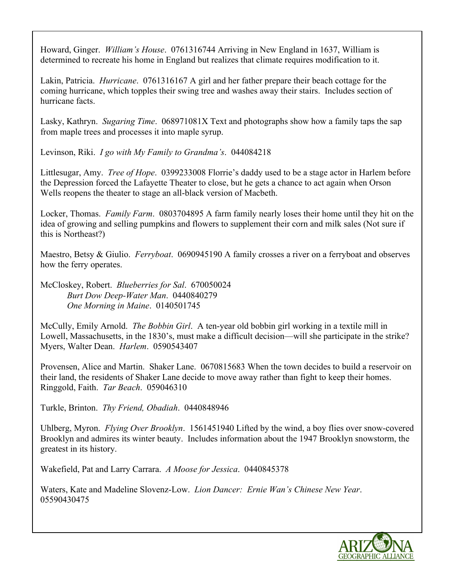Howard, Ginger. *William's House*. 0761316744 Arriving in New England in 1637, William is determined to recreate his home in England but realizes that climate requires modification to it.

Lakin, Patricia. *Hurricane*. 0761316167 A girl and her father prepare their beach cottage for the coming hurricane, which topples their swing tree and washes away their stairs. Includes section of hurricane facts.

Lasky, Kathryn. *Sugaring Time*. 068971081X Text and photographs show how a family taps the sap from maple trees and processes it into maple syrup.

Levinson, Riki. *I go with My Family to Grandma's*. 044084218

Littlesugar, Amy. *Tree of Hope*. 0399233008 Florrie's daddy used to be a stage actor in Harlem before the Depression forced the Lafayette Theater to close, but he gets a chance to act again when Orson Wells reopens the theater to stage an all-black version of Macbeth.

Locker, Thomas. *Family Farm*. 0803704895 A farm family nearly loses their home until they hit on the idea of growing and selling pumpkins and flowers to supplement their corn and milk sales (Not sure if this is Northeast?)

Maestro, Betsy & Giulio. *Ferryboat*. 0690945190 A family crosses a river on a ferryboat and observes how the ferry operates.

McCloskey, Robert. *Blueberries for Sal*. 670050024 *Burt Dow Deep-Water Man*. 0440840279 *One Morning in Maine*. 0140501745

McCully, Emily Arnold. *The Bobbin Girl*. A ten-year old bobbin girl working in a textile mill in Lowell, Massachusetts, in the 1830's, must make a difficult decision—will she participate in the strike? Myers, Walter Dean. *Harlem*. 0590543407

Provensen, Alice and Martin. Shaker Lane. 0670815683 When the town decides to build a reservoir on their land, the residents of Shaker Lane decide to move away rather than fight to keep their homes. Ringgold, Faith. *Tar Beach*. 059046310

Turkle, Brinton. *Thy Friend, Obadiah*. 0440848946

Uhlberg, Myron. *Flying Over Brooklyn*. 1561451940 Lifted by the wind, a boy flies over snow-covered Brooklyn and admires its winter beauty. Includes information about the 1947 Brooklyn snowstorm, the greatest in its history.

Wakefield, Pat and Larry Carrara. *A Moose for Jessica*. 0440845378

Waters, Kate and Madeline Slovenz-Low. *Lion Dancer: Ernie Wan's Chinese New Year*. 05590430475

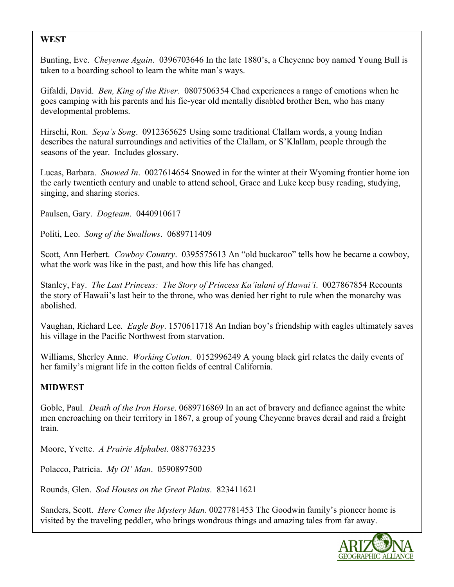## **WEST**

Bunting, Eve. *Cheyenne Again*. 0396703646 In the late 1880's, a Cheyenne boy named Young Bull is taken to a boarding school to learn the white man's ways.

Gifaldi, David. *Ben, King of the River*. 0807506354 Chad experiences a range of emotions when he goes camping with his parents and his fie-year old mentally disabled brother Ben, who has many developmental problems.

Hirschi, Ron. *Seya's Song*. 0912365625 Using some traditional Clallam words, a young Indian describes the natural surroundings and activities of the Clallam, or S'Klallam, people through the seasons of the year. Includes glossary.

Lucas, Barbara. *Snowed In*. 0027614654 Snowed in for the winter at their Wyoming frontier home ion the early twentieth century and unable to attend school, Grace and Luke keep busy reading, studying, singing, and sharing stories.

Paulsen, Gary. *Dogteam*. 0440910617

Politi, Leo. *Song of the Swallows*. 0689711409

Scott, Ann Herbert. *Cowboy Country*. 0395575613 An "old buckaroo" tells how he became a cowboy, what the work was like in the past, and how this life has changed.

Stanley, Fay. *The Last Princess: The Story of Princess Ka'iulani of Hawai'i*. 0027867854 Recounts the story of Hawaii's last heir to the throne, who was denied her right to rule when the monarchy was abolished.

Vaughan, Richard Lee. *Eagle Boy*. 1570611718 An Indian boy's friendship with eagles ultimately saves his village in the Pacific Northwest from starvation.

Williams, Sherley Anne. *Working Cotton*. 0152996249 A young black girl relates the daily events of her family's migrant life in the cotton fields of central California.

#### **MIDWEST**

Goble, Paul*. Death of the Iron Horse*. 0689716869 In an act of bravery and defiance against the white men encroaching on their territory in 1867, a group of young Cheyenne braves derail and raid a freight train.

Moore, Yvette. *A Prairie Alphabet*. 0887763235

Polacco, Patricia. *My Ol' Man*. 0590897500

Rounds, Glen. *Sod Houses on the Great Plains*. 823411621

Sanders, Scott. *Here Comes the Mystery Man*. 0027781453 The Goodwin family's pioneer home is visited by the traveling peddler, who brings wondrous things and amazing tales from far away.